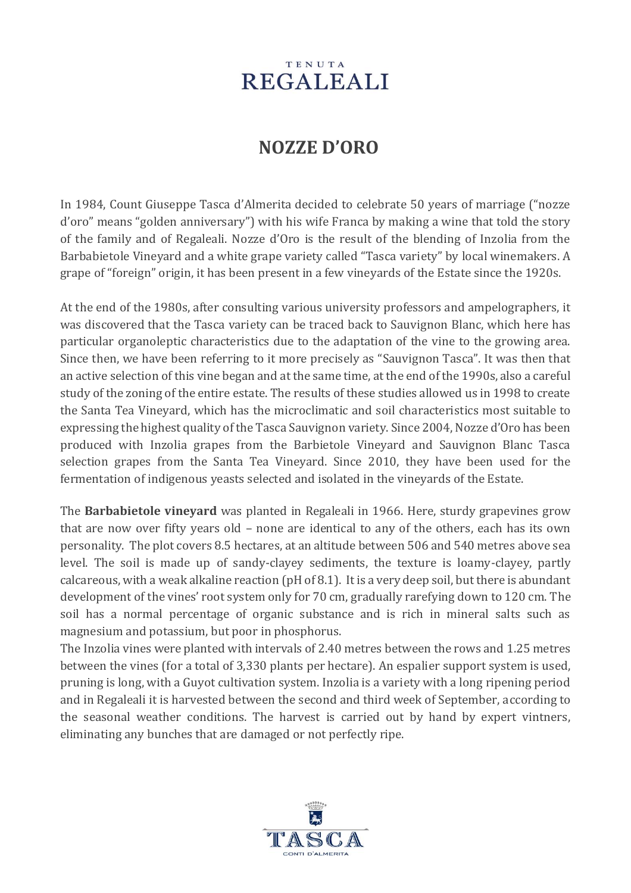#### **TENUTA REGALEALI**

## **NOZZE D'ORO**

In 1984, Count Giuseppe Tasca d'Almerita decided to celebrate 50 years of marriage ("nozze d'oro" means "golden anniversary") with his wife Franca by making a wine that told the story of the family and of Regaleali. Nozze d'Oro is the result of the blending of Inzolia from the Barbabietole Vineyard and a white grape variety called "Tasca variety" by local winemakers. A grape of "foreign" origin, it has been present in a few vineyards of the Estate since the 1920s.

At the end of the 1980s, after consulting various university professors and ampelographers, it was discovered that the Tasca variety can be traced back to Sauvignon Blanc, which here has particular organoleptic characteristics due to the adaptation of the vine to the growing area. Since then, we have been referring to it more precisely as "Sauvignon Tasca". It was then that an active selection of this vine began and at the same time, at the end of the 1990s, also a careful study of the zoning of the entire estate. The results of these studies allowed us in 1998 to create the Santa Tea Vineyard, which has the microclimatic and soil characteristics most suitable to expressing the highest quality of the Tasca Sauvignon variety. Since 2004, Nozze d'Oro has been produced with Inzolia grapes from the Barbietole Vineyard and Sauvignon Blanc Tasca selection grapes from the Santa Tea Vineyard. Since 2010, they have been used for the fermentation of indigenous yeasts selected and isolated in the vineyards of the Estate.

The **Barbabietole vineyard** was planted in Regaleali in 1966. Here, sturdy grapevines grow that are now over fifty years old – none are identical to any of the others, each has its own personality. The plot covers 8.5 hectares, at an altitude between 506 and 540 metres above sea level. The soil is made up of sandy-clayey sediments, the texture is loamy-clayey, partly calcareous, with a weak alkaline reaction (pH of 8.1). It is a very deep soil, but there is abundant development of the vines' root system only for 70 cm, gradually rarefying down to 120 cm. The soil has a normal percentage of organic substance and is rich in mineral salts such as magnesium and potassium, but poor in phosphorus.

The Inzolia vines were planted with intervals of 2.40 metres between the rows and 1.25 metres between the vines (for a total of 3,330 plants per hectare). An espalier support system is used, pruning is long, with a Guyot cultivation system. Inzolia is a variety with a long ripening period and in Regaleali it is harvested between the second and third week of September, according to the seasonal weather conditions. The harvest is carried out by hand by expert vintners, eliminating any bunches that are damaged or not perfectly ripe.

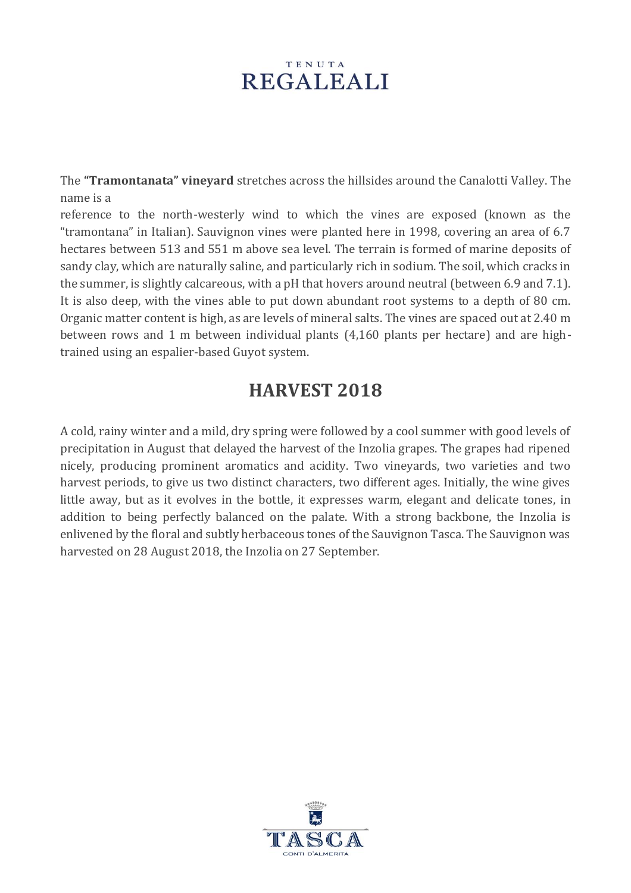## **TENUTA REGALEALI**

The **"Tramontanata" vineyard** stretches across the hillsides around the Canalotti Valley. The name is a

reference to the north-westerly wind to which the vines are exposed (known as the "tramontana" in Italian). Sauvignon vines were planted here in 1998, covering an area of 6.7 hectares between 513 and 551 m above sea level. The terrain is formed of marine deposits of sandy clay, which are naturally saline, and particularly rich in sodium. The soil, which cracks in the summer, is slightly calcareous, with a pH that hovers around neutral (between 6.9 and 7.1). It is also deep, with the vines able to put down abundant root systems to a depth of 80 cm. Organic matter content is high, as are levels of mineral salts. The vines are spaced out at 2.40 m between rows and 1 m between individual plants (4,160 plants per hectare) and are hightrained using an espalier-based Guyot system.

## **HARVEST 2018**

A cold, rainy winter and a mild, dry spring were followed by a cool summer with good levels of precipitation in August that delayed the harvest of the Inzolia grapes. The grapes had ripened nicely, producing prominent aromatics and acidity. Two vineyards, two varieties and two harvest periods, to give us two distinct characters, two different ages. Initially, the wine gives little away, but as it evolves in the bottle, it expresses warm, elegant and delicate tones, in addition to being perfectly balanced on the palate. With a strong backbone, the Inzolia is enlivened by the floral and subtly herbaceous tones of the Sauvignon Tasca. The Sauvignon was harvested on 28 August 2018, the Inzolia on 27 September.

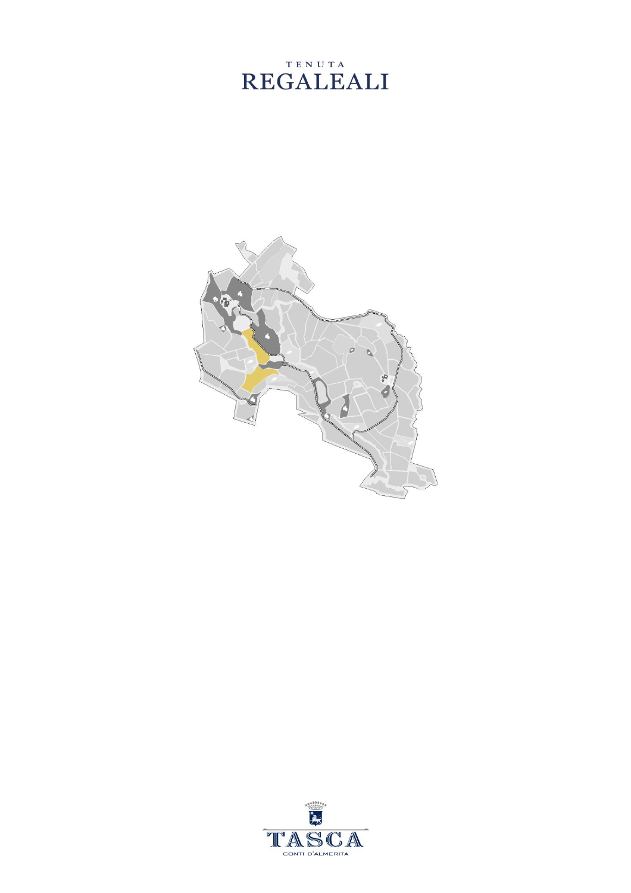# REGALEALI